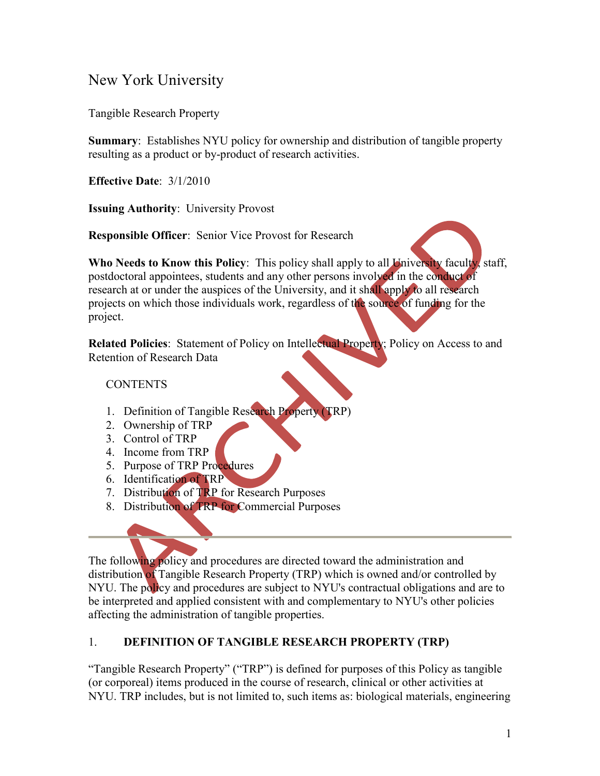# New York University

Tangible Research Property

**Summary**: Establishes NYU policy for ownership and distribution of tangible property resulting as a product or by-product of research activities.

**Effective Date**: 3/1/2010

**Issuing Authority**: University Provost

**Responsible Officer**: Senior Vice Provost for Research

**Who Needs to Know this Policy**: This policy shall apply to all University faculty, staff, postdoctoral appointees, students and any other persons involved in the conduct of research at or under the auspices of the University, and it shall apply to all research projects on which those individuals work, regardless of the source of funding for the project.

**Related Policies**: Statement of Policy on Intellectual Property; Policy on Access to and Retention of Research Data

#### **CONTENTS**

- 1. Definition of Tangible Research Property (TRP)
- 2. Ownership of TRP
- 3. Control of TRP
- 4. Income from TRP
- 5. Purpose of TRP Procedures
- 6. Identification of TRP
- 7. Distribution of TRP for Research Purposes
- 8. Distribution of TRP for Commercial Purposes

The following policy and procedures are directed toward the administration and distribution of Tangible Research Property (TRP) which is owned and/or controlled by NYU. The policy and procedures are subject to NYU's contractual obligations and are to be interpreted and applied consistent with and complementary to NYU's other policies affecting the administration of tangible properties.

### 1. **DEFINITION OF TANGIBLE RESEARCH PROPERTY (TRP)**

"Tangible Research Property" ("TRP") is defined for purposes of this Policy as tangible (or corporeal) items produced in the course of research, clinical or other activities at NYU. TRP includes, but is not limited to, such items as: biological materials, engineering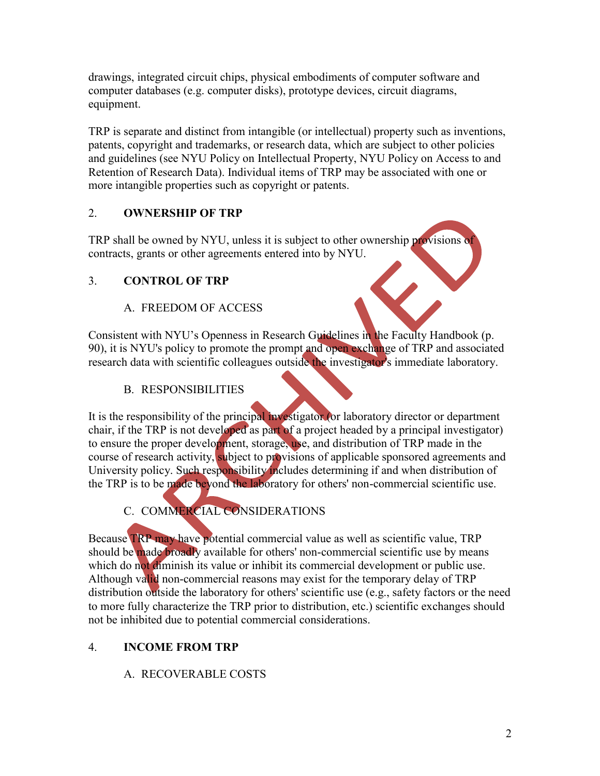drawings, integrated circuit chips, physical embodiments of computer software and computer databases (e.g. computer disks), prototype devices, circuit diagrams, equipment.

TRP is separate and distinct from intangible (or intellectual) property such as inventions, patents, copyright and trademarks, or research data, which are subject to other policies and guidelines (see NYU Policy on Intellectual Property, NYU Policy on Access to and Retention of Research Data). Individual items of TRP may be associated with one or more intangible properties such as copyright or patents.

### 2. **OWNERSHIP OF TRP**

TRP shall be owned by NYU, unless it is subject to other ownership provisions of contracts, grants or other agreements entered into by NYU.

### 3. **CONTROL OF TRP**

### A. FREEDOM OF ACCESS

Consistent with NYU's Openness in Research Guidelines in the Faculty Handbook (p. 90), it is NYU's policy to promote the prompt and open exchange of TRP and associated research data with scientific colleagues outside the investigator's immediate laboratory.

### B. RESPONSIBILITIES

It is the responsibility of the principal investigator (or laboratory director or department chair, if the TRP is not developed as part of a project headed by a principal investigator) to ensure the proper development, storage, use, and distribution of TRP made in the course of research activity, subject to provisions of applicable sponsored agreements and University policy. Such responsibility includes determining if and when distribution of the TRP is to be made beyond the laboratory for others' non-commercial scientific use.

# C. COMMERCIAL CONSIDERATIONS

Because TRP may have potential commercial value as well as scientific value, TRP should be made broadly available for others' non-commercial scientific use by means which do not diminish its value or inhibit its commercial development or public use. Although valid non-commercial reasons may exist for the temporary delay of TRP distribution outside the laboratory for others' scientific use (e.g., safety factors or the need to more fully characterize the TRP prior to distribution, etc.) scientific exchanges should not be inhibited due to potential commercial considerations.

### 4. **INCOME FROM TRP**

### A. RECOVERABLE COSTS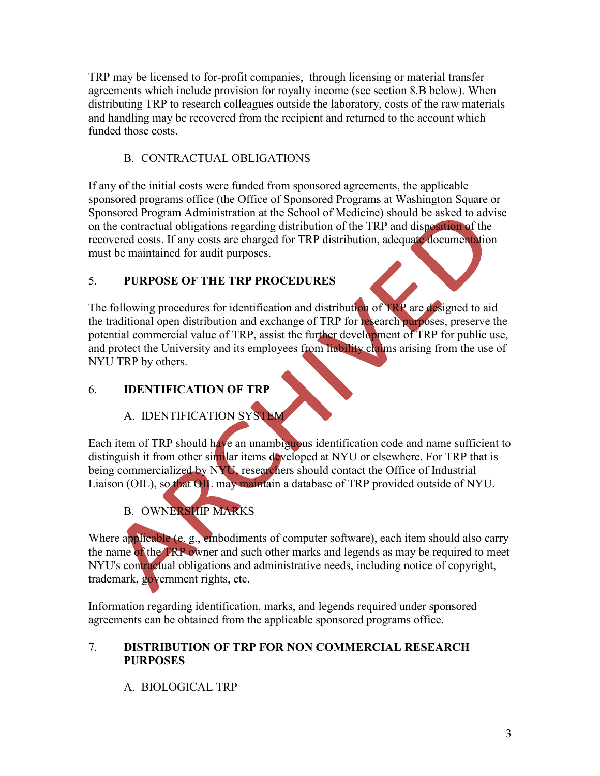TRP may be licensed to for-profit companies, through licensing or material transfer agreements which include provision for royalty income (see section 8.B below). When distributing TRP to research colleagues outside the laboratory, costs of the raw materials and handling may be recovered from the recipient and returned to the account which funded those costs.

### B. CONTRACTUAL OBLIGATIONS

If any of the initial costs were funded from sponsored agreements, the applicable sponsored programs office (the Office of Sponsored Programs at Washington Square or Sponsored Program Administration at the School of Medicine) should be asked to advise on the contractual obligations regarding distribution of the TRP and disposition of the recovered costs. If any costs are charged for TRP distribution, adequate documentation must be maintained for audit purposes.

### 5. **PURPOSE OF THE TRP PROCEDURES**

The following procedures for identification and distribution of TRP are designed to aid the traditional open distribution and exchange of TRP for research purposes, preserve the potential commercial value of TRP, assist the further development of TRP for public use, and protect the University and its employees from liability claims arising from the use of NYU TRP by others.

### 6. **IDENTIFICATION OF TRP**

### A. IDENTIFICATION SYSTEM

Each item of TRP should have an unambiguous identification code and name sufficient to distinguish it from other similar items developed at NYU or elsewhere. For TRP that is being commercialized by NYU, researchers should contact the Office of Industrial Liaison (OIL), so that OIL may maintain a database of TRP provided outside of NYU.

# B. OWNERSHIP MARKS

Where applicable (e. g., embodiments of computer software), each item should also carry the name of the TRP owner and such other marks and legends as may be required to meet NYU's contractual obligations and administrative needs, including notice of copyright, trademark, government rights, etc.

Information regarding identification, marks, and legends required under sponsored agreements can be obtained from the applicable sponsored programs office.

#### 7. **DISTRIBUTION OF TRP FOR NON COMMERCIAL RESEARCH PURPOSES**

### A. BIOLOGICAL TRP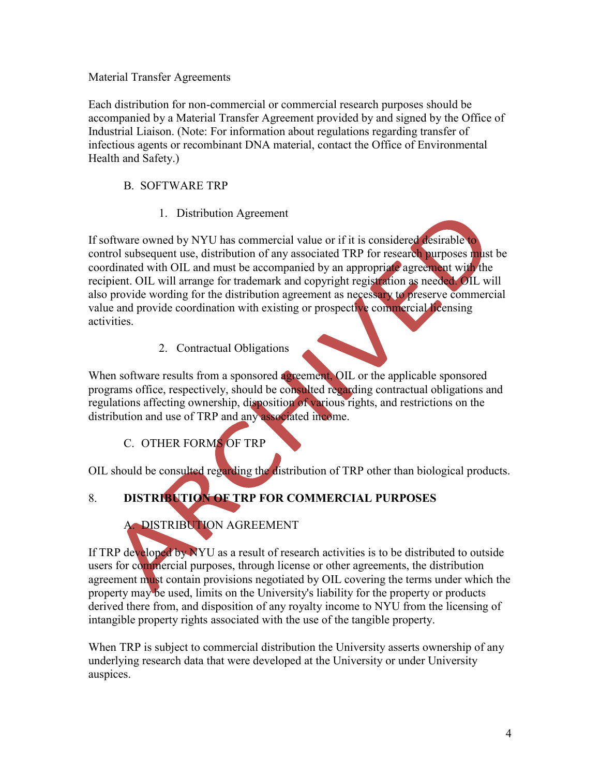#### Material Transfer Agreements

Each distribution for non-commercial or commercial research purposes should be accompanied by a Material Transfer Agreement provided by and signed by the Office of Industrial Liaison. (Note: For information about regulations regarding transfer of infectious agents or recombinant DNA material, contact the Office of Environmental Health and Safety.)

#### B. SOFTWARE TRP

1. Distribution Agreement

If software owned by NYU has commercial value or if it is considered desirable to control subsequent use, distribution of any associated TRP for research purposes must be coordinated with OIL and must be accompanied by an appropriate agreement with the recipient. OIL will arrange for trademark and copyright registration as needed. OIL will also provide wording for the distribution agreement as necessary to preserve commercial value and provide coordination with existing or prospective commercial licensing activities.

#### 2. Contractual Obligations

When software results from a sponsored agreement, OIL or the applicable sponsored programs office, respectively, should be consulted regarding contractual obligations and regulations affecting ownership, disposition of various rights, and restrictions on the distribution and use of TRP and any associated income.

### C. OTHER FORMS OF TRP

OIL should be consulted regarding the distribution of TRP other than biological products.

# 8. **DISTRIBUTION OF TRP FOR COMMERCIAL PURPOSES**

### A. DISTRIBUTION AGREEMENT

If TRP developed by NYU as a result of research activities is to be distributed to outside users for commercial purposes, through license or other agreements, the distribution agreement must contain provisions negotiated by OIL covering the terms under which the property may be used, limits on the University's liability for the property or products derived there from, and disposition of any royalty income to NYU from the licensing of intangible property rights associated with the use of the tangible property.

When TRP is subject to commercial distribution the University asserts ownership of any underlying research data that were developed at the University or under University auspices.